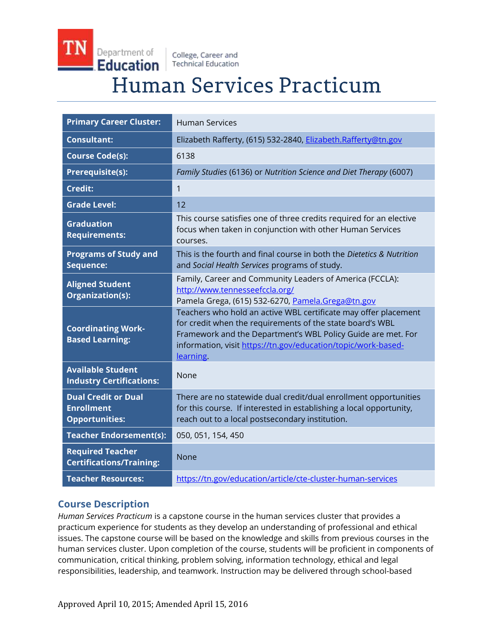College, Career and **Technical Education** 

Department of

Education

# Human Services Practicum

| <b>Primary Career Cluster:</b>                                           | <b>Human Services</b>                                                                                                                                                                                                                                                      |
|--------------------------------------------------------------------------|----------------------------------------------------------------------------------------------------------------------------------------------------------------------------------------------------------------------------------------------------------------------------|
| <b>Consultant:</b>                                                       | Elizabeth Rafferty, (615) 532-2840, Elizabeth.Rafferty@tn.gov                                                                                                                                                                                                              |
| <b>Course Code(s):</b>                                                   | 6138                                                                                                                                                                                                                                                                       |
| <b>Prerequisite(s):</b>                                                  | Family Studies (6136) or Nutrition Science and Diet Therapy (6007)                                                                                                                                                                                                         |
| <b>Credit:</b>                                                           | $\mathbf{1}$                                                                                                                                                                                                                                                               |
| <b>Grade Level:</b>                                                      | 12                                                                                                                                                                                                                                                                         |
| <b>Graduation</b><br><b>Requirements:</b>                                | This course satisfies one of three credits required for an elective<br>focus when taken in conjunction with other Human Services<br>courses.                                                                                                                               |
| <b>Programs of Study and</b><br>Sequence:                                | This is the fourth and final course in both the Dietetics & Nutrition<br>and Social Health Services programs of study.                                                                                                                                                     |
| <b>Aligned Student</b><br>Organization(s):                               | Family, Career and Community Leaders of America (FCCLA):<br>http://www.tennesseefccla.org/<br>Pamela Grega, (615) 532-6270, Pamela.Grega@tn.gov                                                                                                                            |
| <b>Coordinating Work-</b><br><b>Based Learning:</b>                      | Teachers who hold an active WBL certificate may offer placement<br>for credit when the requirements of the state board's WBL<br>Framework and the Department's WBL Policy Guide are met. For<br>information, visit https://tn.gov/education/topic/work-based-<br>learning. |
| <b>Available Student</b><br><b>Industry Certifications:</b>              | None                                                                                                                                                                                                                                                                       |
| <b>Dual Credit or Dual</b><br><b>Enrollment</b><br><b>Opportunities:</b> | There are no statewide dual credit/dual enrollment opportunities<br>for this course. If interested in establishing a local opportunity,<br>reach out to a local postsecondary institution.                                                                                 |
| <b>Teacher Endorsement(s):</b>                                           | 050, 051, 154, 450                                                                                                                                                                                                                                                         |
| <b>Required Teacher</b><br><b>Certifications/Training:</b>               | <b>None</b>                                                                                                                                                                                                                                                                |
| <b>Teacher Resources:</b>                                                | https://tn.gov/education/article/cte-cluster-human-services                                                                                                                                                                                                                |

## **Course Description**

*Human Services Practicum* is a capstone course in the human services cluster that provides a practicum experience for students as they develop an understanding of professional and ethical issues. The capstone course will be based on the knowledge and skills from previous courses in the human services cluster. Upon completion of the course, students will be proficient in components of communication, critical thinking, problem solving, information technology, ethical and legal responsibilities, leadership, and teamwork. Instruction may be delivered through school-based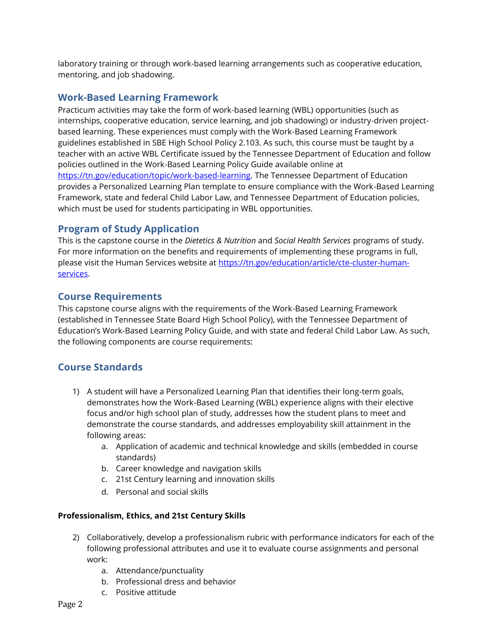laboratory training or through work-based learning arrangements such as cooperative education, mentoring, and job shadowing.

## **Work-Based Learning Framework**

Practicum activities may take the form of work-based learning (WBL) opportunities (such as internships, cooperative education, service learning, and job shadowing) or industry-driven projectbased learning. These experiences must comply with the Work-Based Learning Framework guidelines established in SBE High School Policy 2.103. As such, this course must be taught by a teacher with an active WBL Certificate issued by the Tennessee Department of Education and follow policies outlined in the Work-Based Learning Policy Guide available online at [https://tn.gov/education/topic/work-based-learning.](http://www.tn.gov/education/cte/work_based_learning.shtml) The Tennessee Department of Education provides a Personalized Learning Plan template to ensure compliance with the Work-Based Learning Framework, state and federal Child Labor Law, and Tennessee Department of Education policies, which must be used for students participating in WBL opportunities.

## **Program of Study Application**

This is the capstone course in the *Dietetics & Nutrition* and *Social Health Services* programs of study. For more information on the benefits and requirements of implementing these programs in full, please visit the Human Services website at [https://tn.gov/education/article/cte-cluster-human](https://tn.gov/education/article/cte-cluster-human-services)[services.](https://tn.gov/education/article/cte-cluster-human-services)

## **Course Requirements**

This capstone course aligns with the requirements of the Work-Based Learning Framework (established in Tennessee State Board High School Policy), with the Tennessee Department of Education's Work-Based Learning Policy Guide, and with state and federal Child Labor Law. As such, the following components are course requirements:

## **Course Standards**

- 1) A student will have a Personalized Learning Plan that identifies their long-term goals, demonstrates how the Work-Based Learning (WBL) experience aligns with their elective focus and/or high school plan of study, addresses how the student plans to meet and demonstrate the course standards, and addresses employability skill attainment in the following areas:
	- a. Application of academic and technical knowledge and skills (embedded in course standards)
	- b. Career knowledge and navigation skills
	- c. 21st Century learning and innovation skills
	- d. Personal and social skills

#### **Professionalism, Ethics, and 21st Century Skills**

- 2) Collaboratively, develop a professionalism rubric with performance indicators for each of the following professional attributes and use it to evaluate course assignments and personal work:
	- a. Attendance/punctuality
	- b. Professional dress and behavior
	- c. Positive attitude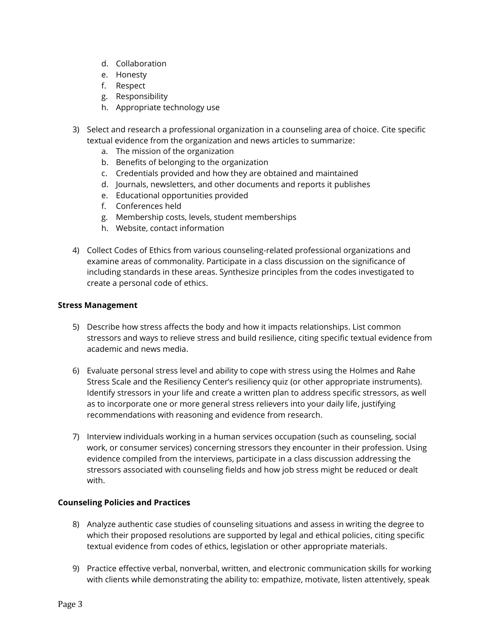- d. Collaboration
- e. Honesty
- f. Respect
- g. Responsibility
- h. Appropriate technology use
- 3) Select and research a professional organization in a counseling area of choice. Cite specific textual evidence from the organization and news articles to summarize:
	- a. The mission of the organization
	- b. Benefits of belonging to the organization
	- c. Credentials provided and how they are obtained and maintained
	- d. Journals, newsletters, and other documents and reports it publishes
	- e. Educational opportunities provided
	- f. Conferences held
	- g. Membership costs, levels, student memberships
	- h. Website, contact information
- 4) Collect Codes of Ethics from various counseling-related professional organizations and examine areas of commonality. Participate in a class discussion on the significance of including standards in these areas. Synthesize principles from the codes investigated to create a personal code of ethics.

#### **Stress Management**

- 5) Describe how stress affects the body and how it impacts relationships. List common stressors and ways to relieve stress and build resilience, citing specific textual evidence from academic and news media.
- 6) Evaluate personal stress level and ability to cope with stress using the Holmes and Rahe Stress Scale and the Resiliency Center's resiliency quiz (or other appropriate instruments). Identify stressors in your life and create a written plan to address specific stressors, as well as to incorporate one or more general stress relievers into your daily life, justifying recommendations with reasoning and evidence from research.
- 7) Interview individuals working in a human services occupation (such as counseling, social work, or consumer services) concerning stressors they encounter in their profession. Using evidence compiled from the interviews, participate in a class discussion addressing the stressors associated with counseling fields and how job stress might be reduced or dealt with.

#### **Counseling Policies and Practices**

- 8) Analyze authentic case studies of counseling situations and assess in writing the degree to which their proposed resolutions are supported by legal and ethical policies, citing specific textual evidence from codes of ethics, legislation or other appropriate materials.
- 9) Practice effective verbal, nonverbal, written, and electronic communication skills for working with clients while demonstrating the ability to: empathize, motivate, listen attentively, speak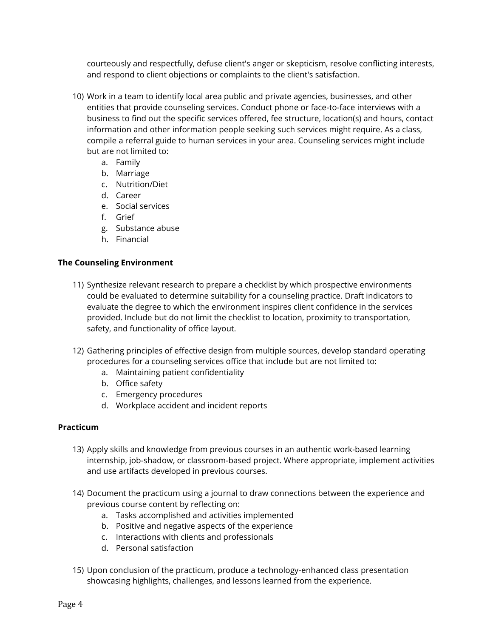courteously and respectfully, defuse client's anger or skepticism, resolve conflicting interests, and respond to client objections or complaints to the client's satisfaction.

- 10) Work in a team to identify local area public and private agencies, businesses, and other entities that provide counseling services. Conduct phone or face-to-face interviews with a business to find out the specific services offered, fee structure, location(s) and hours, contact information and other information people seeking such services might require. As a class, compile a referral guide to human services in your area. Counseling services might include but are not limited to:
	- a. Family
	- b. Marriage
	- c. Nutrition/Diet
	- d. Career
	- e. Social services
	- f. Grief
	- g. Substance abuse
	- h. Financial

#### **The Counseling Environment**

- 11) Synthesize relevant research to prepare a checklist by which prospective environments could be evaluated to determine suitability for a counseling practice. Draft indicators to evaluate the degree to which the environment inspires client confidence in the services provided. Include but do not limit the checklist to location, proximity to transportation, safety, and functionality of office layout.
- 12) Gathering principles of effective design from multiple sources, develop standard operating procedures for a counseling services office that include but are not limited to:
	- a. Maintaining patient confidentiality
	- b. Office safety
	- c. Emergency procedures
	- d. Workplace accident and incident reports

#### **Practicum**

- 13) Apply skills and knowledge from previous courses in an authentic work-based learning internship, job-shadow, or classroom-based project. Where appropriate, implement activities and use artifacts developed in previous courses.
- 14) Document the practicum using a journal to draw connections between the experience and previous course content by reflecting on:
	- a. Tasks accomplished and activities implemented
	- b. Positive and negative aspects of the experience
	- c. Interactions with clients and professionals
	- d. Personal satisfaction
- 15) Upon conclusion of the practicum, produce a technology-enhanced class presentation showcasing highlights, challenges, and lessons learned from the experience.